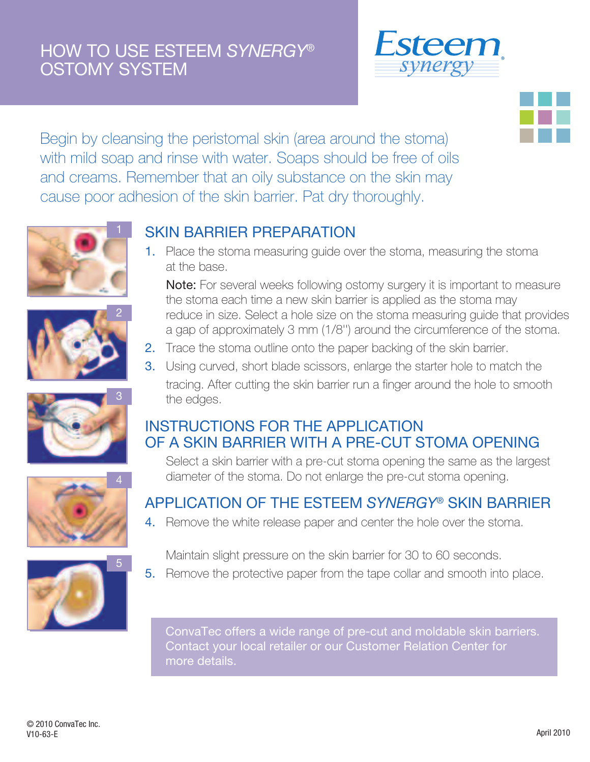### HOW TO USE ESTEEM *SYNERGY*® OSTOMY SYSTEM





Begin by cleansing the peristomal skin (area around the stoma) with mild soap and rinse with water. Soaps should be free of oils and creams. Remember that an oily substance on the skin may cause poor adhesion of the skin barrier. Pat dry thoroughly.











#### SKIN BARRIER PREPARATION

1. Place the stoma measuring guide over the stoma, measuring the stoma at the base.

Note: For several weeks following ostomy surgery it is important to measure the stoma each time a new skin barrier is applied as the stoma may reduce in size. Select a hole size on the stoma measuring guide that provides a gap of approximately 3 mm (1/8'') around the circumference of the stoma.

- 2. Trace the stoma outline onto the paper backing of the skin barrier.
- 3. Using curved, short blade scissors, enlarge the starter hole to match the tracing. After cutting the skin barrier run a finger around the hole to smooth the edges.

#### INSTRUCTIONS FOR THE APPLICATION OF A SKIN BARRIER WITH A PRE-CUT STOMA OPENING

Select a skin barrier with a pre-cut stoma opening the same as the largest diameter of the stoma. Do not enlarge the pre-cut stoma opening.

### APPLICATION OF THE ESTEEM *SYNERGY*® SKIN BARRIER

- 4. Remove the white release paper and center the hole over the stoma.
	- Maintain slight pressure on the skin barrier for 30 to 60 seconds.
- 5. Remove the protective paper from the tape collar and smooth into place.

ConvaTec offers a wide range of pre-cut and moldable skin barriers. Contact your local retailer or our Customer Relation Center for more details.